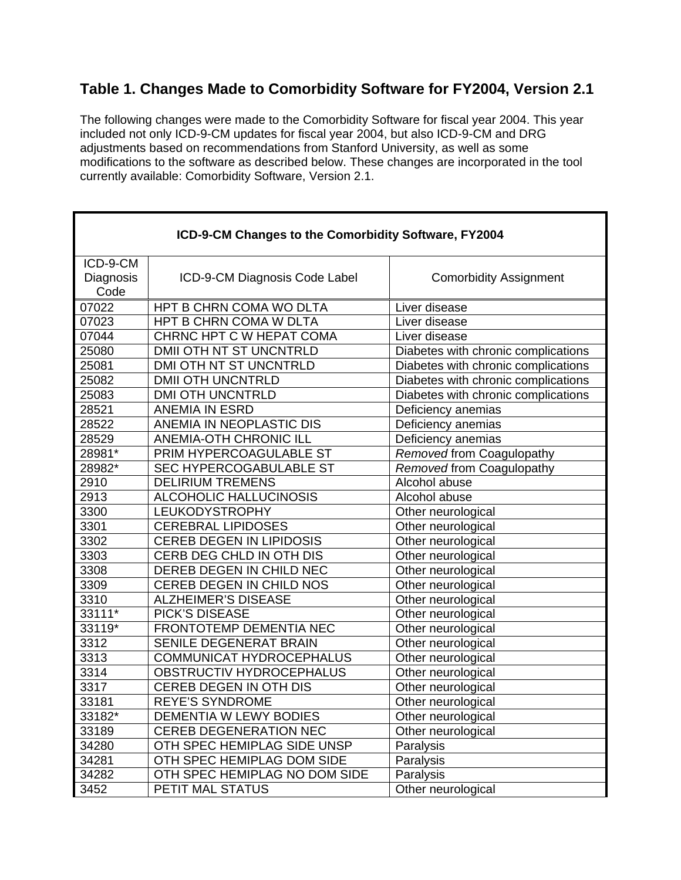## **Table 1. Changes Made to Comorbidity Software for FY2004, Version 2.1**

The following changes were made to the Comorbidity Software for fiscal year 2004. This year included not only ICD-9-CM updates for fiscal year 2004, but also ICD-9-CM and DRG adjustments based on recommendations from Stanford University, as well as some modifications to the software as described below. These changes are incorporated in the tool currently available: Comorbidity Software, Version 2.1.

| ICD-9-CM Changes to the Comorbidity Software, FY2004 |                                 |                                     |
|------------------------------------------------------|---------------------------------|-------------------------------------|
| ICD-9-CM<br>Diagnosis<br>Code                        | ICD-9-CM Diagnosis Code Label   | <b>Comorbidity Assignment</b>       |
| 07022                                                | HPT B CHRN COMA WO DLTA         | Liver disease                       |
| 07023                                                | HPT B CHRN COMA W DLTA          | Liver disease                       |
| 07044                                                | CHRNC HPT C W HEPAT COMA        | Liver disease                       |
| 25080                                                | DMII OTH NT ST UNCNTRLD         | Diabetes with chronic complications |
| 25081                                                | DMI OTH NT ST UNCNTRLD          | Diabetes with chronic complications |
| 25082                                                | <b>DMII OTH UNCNTRLD</b>        | Diabetes with chronic complications |
| 25083                                                | <b>DMI OTH UNCNTRLD</b>         | Diabetes with chronic complications |
| 28521                                                | <b>ANEMIA IN ESRD</b>           | Deficiency anemias                  |
| 28522                                                | ANEMIA IN NEOPLASTIC DIS        | Deficiency anemias                  |
| 28529                                                | <b>ANEMIA-OTH CHRONIC ILL</b>   | Deficiency anemias                  |
| $28981*$                                             | PRIM HYPERCOAGULABLE ST         | Removed from Coagulopathy           |
| 28982*                                               | SEC HYPERCOGABULABLE ST         | Removed from Coagulopathy           |
| 2910                                                 | <b>DELIRIUM TREMENS</b>         | Alcohol abuse                       |
| 2913                                                 | ALCOHOLIC HALLUCINOSIS          | Alcohol abuse                       |
| 3300                                                 | <b>LEUKODYSTROPHY</b>           | Other neurological                  |
| 3301                                                 | <b>CEREBRAL LIPIDOSES</b>       | Other neurological                  |
| 3302                                                 | <b>CEREB DEGEN IN LIPIDOSIS</b> | Other neurological                  |
| 3303                                                 | CERB DEG CHLD IN OTH DIS        | Other neurological                  |
| 3308                                                 | DEREB DEGEN IN CHILD NEC        | Other neurological                  |
| 3309                                                 | CEREB DEGEN IN CHILD NOS        | Other neurological                  |
| 3310                                                 | <b>ALZHEIMER'S DISEASE</b>      | Other neurological                  |
| 33111*                                               | <b>PICK'S DISEASE</b>           | Other neurological                  |
| 33119*                                               | FRONTOTEMP DEMENTIA NEC         | Other neurological                  |
| 3312                                                 | SENILE DEGENERAT BRAIN          | Other neurological                  |
| 3313                                                 | <b>COMMUNICAT HYDROCEPHALUS</b> | Other neurological                  |
| 3314                                                 | OBSTRUCTIV HYDROCEPHALUS        | Other neurological                  |
| 3317                                                 | <b>CEREB DEGEN IN OTH DIS</b>   | Other neurological                  |
| 33181                                                | <b>REYE'S SYNDROME</b>          | Other neurological                  |
| 33182*                                               | DEMENTIA W LEWY BODIES          | Other neurological                  |
| 33189                                                | <b>CEREB DEGENERATION NEC</b>   | Other neurological                  |
| 34280                                                | OTH SPEC HEMIPLAG SIDE UNSP     | Paralysis                           |
| 34281                                                | OTH SPEC HEMIPLAG DOM SIDE      | Paralysis                           |
| 34282                                                | OTH SPEC HEMIPLAG NO DOM SIDE   | Paralysis                           |
| 3452                                                 | PETIT MAL STATUS                | Other neurological                  |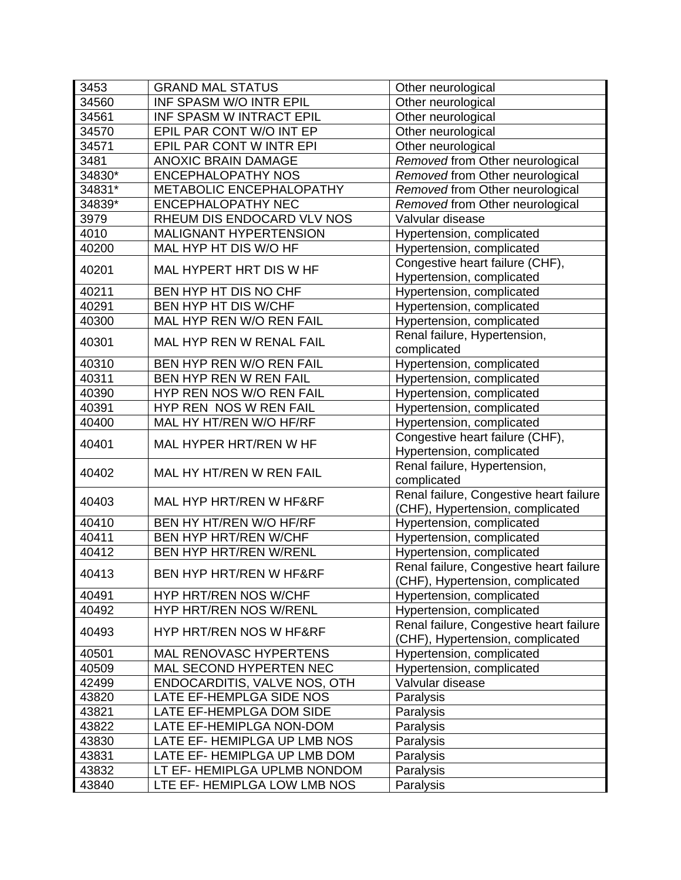| 3453   | <b>GRAND MAL STATUS</b>       | Other neurological                      |
|--------|-------------------------------|-----------------------------------------|
| 34560  | INF SPASM W/O INTR EPIL       | Other neurological                      |
| 34561  | INF SPASM W INTRACT EPIL      | Other neurological                      |
| 34570  | EPIL PAR CONT W/O INT EP      | Other neurological                      |
| 34571  | EPIL PAR CONT W INTR EPI      | Other neurological                      |
| 3481   | <b>ANOXIC BRAIN DAMAGE</b>    | Removed from Other neurological         |
| 34830* | <b>ENCEPHALOPATHY NOS</b>     | Removed from Other neurological         |
| 34831* | METABOLIC ENCEPHALOPATHY      | Removed from Other neurological         |
| 34839* | <b>ENCEPHALOPATHY NEC</b>     | Removed from Other neurological         |
| 3979   | RHEUM DIS ENDOCARD VLV NOS    | Valvular disease                        |
| 4010   | <b>MALIGNANT HYPERTENSION</b> | Hypertension, complicated               |
| 40200  | MAL HYP HT DIS W/O HF         | Hypertension, complicated               |
|        |                               | Congestive heart failure (CHF),         |
| 40201  | MAL HYPERT HRT DIS W HF       | Hypertension, complicated               |
| 40211  | BEN HYP HT DIS NO CHF         | Hypertension, complicated               |
| 40291  | BEN HYP HT DIS W/CHF          | Hypertension, complicated               |
| 40300  | MAL HYP REN W/O REN FAIL      | Hypertension, complicated               |
|        |                               | Renal failure, Hypertension,            |
| 40301  | MAL HYP REN W RENAL FAIL      | complicated                             |
| 40310  | BEN HYP REN W/O REN FAIL      | Hypertension, complicated               |
| 40311  | BEN HYP REN W REN FAIL        | Hypertension, complicated               |
| 40390  | HYP REN NOS W/O REN FAIL      | Hypertension, complicated               |
| 40391  | HYP REN NOS W REN FAIL        | Hypertension, complicated               |
| 40400  | MAL HY HT/REN W/O HF/RF       | Hypertension, complicated               |
|        |                               | Congestive heart failure (CHF),         |
| 40401  | MAL HYPER HRT/REN W HF        | Hypertension, complicated               |
|        |                               | Renal failure, Hypertension,            |
| 40402  | MAL HY HT/REN W REN FAIL      | complicated                             |
|        |                               | Renal failure, Congestive heart failure |
| 40403  | MAL HYP HRT/REN W HF&RF       | (CHF), Hypertension, complicated        |
| 40410  | BEN HY HT/REN W/O HF/RF       | Hypertension, complicated               |
| 40411  | <b>BEN HYP HRT/REN W/CHF</b>  | Hypertension, complicated               |
| 40412  | <b>BEN HYP HRT/REN W/RENL</b> | Hypertension, complicated               |
|        |                               | Renal failure, Congestive heart failure |
| 40413  | BEN HYP HRT/REN W HF&RF       | (CHF), Hypertension, complicated        |
| 40491  | HYP HRT/REN NOS W/CHF         | Hypertension, complicated               |
| 40492  | HYP HRT/REN NOS W/RENL        | Hypertension, complicated               |
|        |                               | Renal failure, Congestive heart failure |
| 40493  | HYP HRT/REN NOS W HF&RF       | (CHF), Hypertension, complicated        |
| 40501  | MAL RENOVASC HYPERTENS        | Hypertension, complicated               |
| 40509  | MAL SECOND HYPERTEN NEC       | Hypertension, complicated               |
| 42499  | ENDOCARDITIS, VALVE NOS, OTH  | Valvular disease                        |
| 43820  | LATE EF-HEMPLGA SIDE NOS      | Paralysis                               |
| 43821  | LATE EF-HEMPLGA DOM SIDE      | Paralysis                               |
| 43822  | LATE EF-HEMIPLGA NON-DOM      | Paralysis                               |
| 43830  | LATE EF- HEMIPLGA UP LMB NOS  | Paralysis                               |
| 43831  | LATE EF- HEMIPLGA UP LMB DOM  | Paralysis                               |
| 43832  | LT EF- HEMIPLGA UPLMB NONDOM  | Paralysis                               |
| 43840  | LTE EF- HEMIPLGA LOW LMB NOS  | Paralysis                               |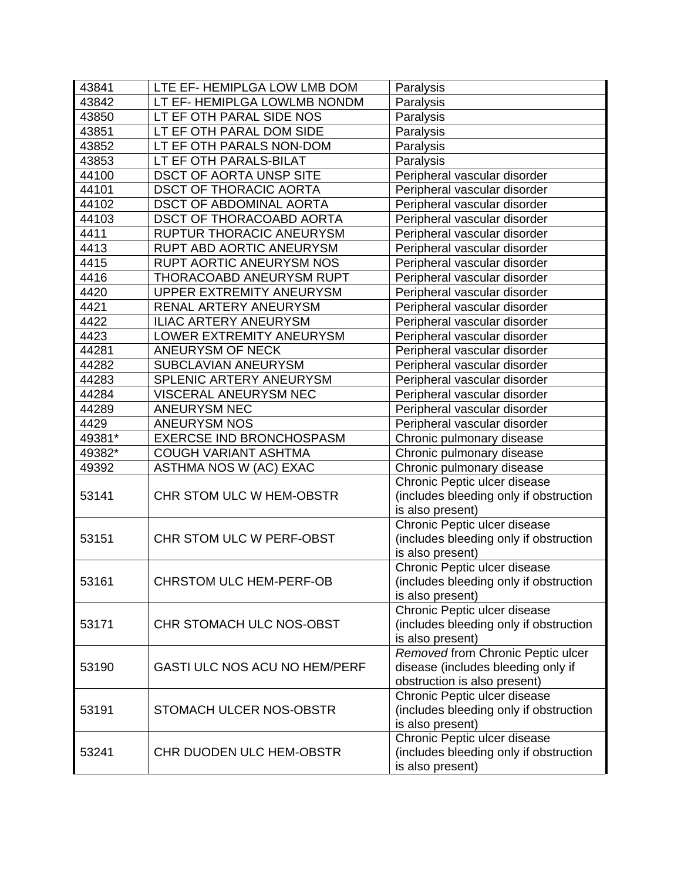| 43841  | LTE EF- HEMIPLGA LOW LMB DOM    | Paralysis                              |
|--------|---------------------------------|----------------------------------------|
| 43842  | LT EF- HEMIPLGA LOWLMB NONDM    | Paralysis                              |
| 43850  | LT EF OTH PARAL SIDE NOS        | Paralysis                              |
| 43851  | LT EF OTH PARAL DOM SIDE        | Paralysis                              |
| 43852  | LT EF OTH PARALS NON-DOM        | Paralysis                              |
| 43853  | LT EF OTH PARALS-BILAT          | Paralysis                              |
| 44100  | <b>DSCT OF AORTA UNSP SITE</b>  | Peripheral vascular disorder           |
| 44101  | <b>DSCT OF THORACIC AORTA</b>   | Peripheral vascular disorder           |
| 44102  | <b>DSCT OF ABDOMINAL AORTA</b>  | Peripheral vascular disorder           |
| 44103  | <b>DSCT OF THORACOABD AORTA</b> | Peripheral vascular disorder           |
| 4411   | RUPTUR THORACIC ANEURYSM        | Peripheral vascular disorder           |
| 4413   | RUPT ABD AORTIC ANEURYSM        | Peripheral vascular disorder           |
| 4415   | RUPT AORTIC ANEURYSM NOS        | Peripheral vascular disorder           |
| 4416   | THORACOABD ANEURYSM RUPT        | Peripheral vascular disorder           |
| 4420   | <b>UPPER EXTREMITY ANEURYSM</b> | Peripheral vascular disorder           |
| 4421   | RENAL ARTERY ANEURYSM           | Peripheral vascular disorder           |
| 4422   | <b>ILIAC ARTERY ANEURYSM</b>    | Peripheral vascular disorder           |
| 4423   | LOWER EXTREMITY ANEURYSM        | Peripheral vascular disorder           |
| 44281  | ANEURYSM OF NECK                | Peripheral vascular disorder           |
| 44282  | SUBCLAVIAN ANEURYSM             | Peripheral vascular disorder           |
| 44283  | SPLENIC ARTERY ANEURYSM         | Peripheral vascular disorder           |
| 44284  | VISCERAL ANEURYSM NEC           | Peripheral vascular disorder           |
| 44289  | <b>ANEURYSM NEC</b>             | Peripheral vascular disorder           |
| 4429   | <b>ANEURYSM NOS</b>             | Peripheral vascular disorder           |
| 49381* | <b>EXERCSE IND BRONCHOSPASM</b> | Chronic pulmonary disease              |
| 49382* | <b>COUGH VARIANT ASHTMA</b>     | Chronic pulmonary disease              |
| 49392  | ASTHMA NOS W (AC) EXAC          | Chronic pulmonary disease              |
|        |                                 | Chronic Peptic ulcer disease           |
| 53141  | CHR STOM ULC W HEM-OBSTR        | (includes bleeding only if obstruction |
|        |                                 | is also present)                       |
|        |                                 | Chronic Peptic ulcer disease           |
| 53151  | CHR STOM ULC W PERF-OBST        | (includes bleeding only if obstruction |
|        |                                 | is also present)                       |
|        |                                 | Chronic Peptic ulcer disease           |
| 53161  | <b>CHRSTOM ULC HEM-PERF-OB</b>  | includes bleeding only if obstruction  |
|        |                                 | is also present)                       |
|        |                                 | Chronic Peptic ulcer disease           |
| 53171  | CHR STOMACH ULC NOS-OBST        | (includes bleeding only if obstruction |
|        |                                 | is also present)                       |
|        |                                 | Removed from Chronic Peptic ulcer      |
| 53190  | GASTI ULC NOS ACU NO HEM/PERF   | disease (includes bleeding only if     |
|        |                                 | obstruction is also present)           |
|        |                                 | Chronic Peptic ulcer disease           |
| 53191  | STOMACH ULCER NOS-OBSTR         | (includes bleeding only if obstruction |
|        |                                 | is also present)                       |
|        |                                 | Chronic Peptic ulcer disease           |
| 53241  | CHR DUODEN ULC HEM-OBSTR        | (includes bleeding only if obstruction |
|        |                                 | is also present)                       |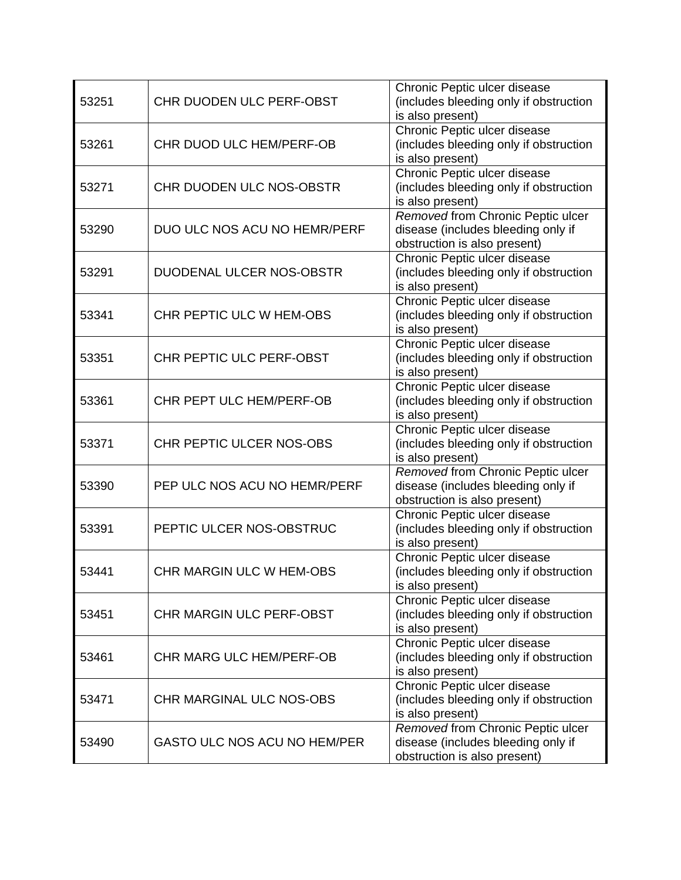|       |                                 | Chronic Peptic ulcer disease           |
|-------|---------------------------------|----------------------------------------|
| 53251 | CHR DUODEN ULC PERF-OBST        | (includes bleeding only if obstruction |
|       |                                 | is also present)                       |
|       |                                 | Chronic Peptic ulcer disease           |
| 53261 | CHR DUOD ULC HEM/PERF-OB        | (includes bleeding only if obstruction |
|       |                                 | is also present)                       |
|       |                                 | Chronic Peptic ulcer disease           |
| 53271 | CHR DUODEN ULC NOS-OBSTR        | (includes bleeding only if obstruction |
|       |                                 | is also present)                       |
|       |                                 | Removed from Chronic Peptic ulcer      |
| 53290 | DUO ULC NOS ACU NO HEMR/PERF    | disease (includes bleeding only if     |
|       |                                 |                                        |
|       |                                 | obstruction is also present)           |
|       |                                 | Chronic Peptic ulcer disease           |
| 53291 | DUODENAL ULCER NOS-OBSTR        | (includes bleeding only if obstruction |
|       |                                 | is also present)                       |
|       |                                 | Chronic Peptic ulcer disease           |
| 53341 | CHR PEPTIC ULC W HEM-OBS        | (includes bleeding only if obstruction |
|       |                                 | is also present)                       |
|       |                                 | Chronic Peptic ulcer disease           |
| 53351 | CHR PEPTIC ULC PERF-OBST        | (includes bleeding only if obstruction |
|       |                                 | is also present)                       |
|       |                                 | Chronic Peptic ulcer disease           |
| 53361 | CHR PEPT ULC HEM/PERF-OB        | (includes bleeding only if obstruction |
|       |                                 | is also present)                       |
|       |                                 | Chronic Peptic ulcer disease           |
| 53371 | CHR PEPTIC ULCER NOS-OBS        | (includes bleeding only if obstruction |
|       |                                 | is also present)                       |
|       |                                 | Removed from Chronic Peptic ulcer      |
| 53390 | PEP ULC NOS ACU NO HEMR/PERF    | disease (includes bleeding only if     |
|       |                                 | obstruction is also present)           |
|       |                                 | Chronic Peptic ulcer disease           |
| 53391 | PEPTIC ULCER NOS-OBSTRUC        | (includes bleeding only if obstruction |
|       |                                 | is also present)                       |
|       |                                 | Chronic Peptic ulcer disease           |
| 53441 | <b>CHR MARGIN ULC W HEM-OBS</b> | (includes bleeding only if obstruction |
|       |                                 |                                        |
|       |                                 | is also present)                       |
|       | <b>CHR MARGIN ULC PERF-OBST</b> | Chronic Peptic ulcer disease           |
| 53451 |                                 | (includes bleeding only if obstruction |
|       |                                 | is also present)                       |
|       |                                 | Chronic Peptic ulcer disease           |
| 53461 | <b>CHR MARG ULC HEM/PERF-OB</b> | (includes bleeding only if obstruction |
|       |                                 | is also present)                       |
|       |                                 | Chronic Peptic ulcer disease           |
| 53471 | CHR MARGINAL ULC NOS-OBS        | (includes bleeding only if obstruction |
|       |                                 | is also present)                       |
|       |                                 | Removed from Chronic Peptic ulcer      |
| 53490 | GASTO ULC NOS ACU NO HEM/PER    | disease (includes bleeding only if     |
|       |                                 | obstruction is also present)           |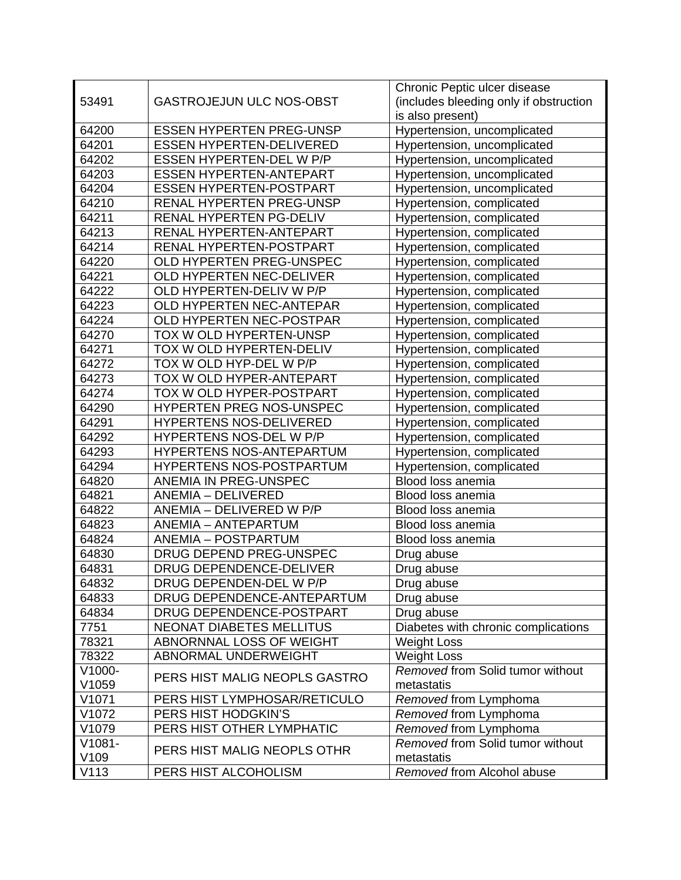| 53491<br><b>GASTROJEJUN ULC NOS-OBST</b><br>(includes bleeding only if obstruction<br>is also present)<br>Hypertension, uncomplicated<br>64200<br><b>ESSEN HYPERTEN PREG-UNSP</b><br>64201<br><b>ESSEN HYPERTEN-DELIVERED</b><br>Hypertension, uncomplicated<br>64202<br>ESSEN HYPERTEN-DEL W P/P<br>Hypertension, uncomplicated<br>64203<br><b>ESSEN HYPERTEN-ANTEPART</b><br>Hypertension, uncomplicated<br>64204<br><b>ESSEN HYPERTEN-POSTPART</b><br>Hypertension, uncomplicated<br>64210<br><b>RENAL HYPERTEN PREG-UNSP</b><br>Hypertension, complicated<br>64211<br>RENAL HYPERTEN PG-DELIV<br>Hypertension, complicated<br>64213<br>RENAL HYPERTEN-ANTEPART<br>Hypertension, complicated<br>64214<br>RENAL HYPERTEN-POSTPART<br>Hypertension, complicated<br>64220<br>OLD HYPERTEN PREG-UNSPEC<br>Hypertension, complicated<br>64221<br>OLD HYPERTEN NEC-DELIVER<br>Hypertension, complicated<br>64222<br>OLD HYPERTEN-DELIV W P/P<br>Hypertension, complicated<br>64223<br>OLD HYPERTEN NEC-ANTEPAR<br>Hypertension, complicated<br>64224<br>OLD HYPERTEN NEC-POSTPAR<br>Hypertension, complicated<br>64270<br>TOX W OLD HYPERTEN-UNSP<br>Hypertension, complicated<br>64271<br>TOX W OLD HYPERTEN-DELIV<br>Hypertension, complicated<br>64272<br>TOX W OLD HYP-DEL W P/P<br>Hypertension, complicated<br>64273<br>TOX W OLD HYPER-ANTEPART<br>Hypertension, complicated<br>64274<br>TOX W OLD HYPER-POSTPART<br>Hypertension, complicated<br>64290<br>HYPERTEN PREG NOS-UNSPEC<br>Hypertension, complicated<br>64291<br>HYPERTENS NOS-DELIVERED<br>Hypertension, complicated<br>64292<br>HYPERTENS NOS-DEL W P/P<br>Hypertension, complicated<br>64293<br>HYPERTENS NOS-ANTEPARTUM<br>Hypertension, complicated<br>HYPERTENS NOS-POSTPARTUM<br>64294<br>Hypertension, complicated<br>ANEMIA IN PREG-UNSPEC<br>Blood loss anemia<br>64820<br>64821<br>ANEMIA - DELIVERED<br>Blood loss anemia<br>64822<br>ANEMIA - DELIVERED W P/P<br>Blood loss anemia<br>64823<br><b>ANEMIA - ANTEPARTUM</b><br>Blood loss anemia<br>64824<br><b>ANEMIA - POSTPARTUM</b><br>Blood loss anemia<br>64830<br>DRUG DEPEND PREG-UNSPEC<br>Drug abuse<br>64831<br>DRUG DEPENDENCE-DELIVER<br>Drug abuse<br>64832<br>DRUG DEPENDEN-DEL W P/P<br>Drug abuse<br>DRUG DEPENDENCE-ANTEPARTUM<br>64833<br>Drug abuse<br>DRUG DEPENDENCE-POSTPART<br>64834<br>Drug abuse<br>7751<br><b>NEONAT DIABETES MELLITUS</b><br>Diabetes with chronic complications<br>78321<br>ABNORNNAL LOSS OF WEIGHT<br><b>Weight Loss</b><br>78322<br>ABNORMAL UNDERWEIGHT<br><b>Weight Loss</b><br>Removed from Solid tumor without<br>V1000-<br>PERS HIST MALIG NEOPLS GASTRO<br>V1059<br>metastatis<br>V1071<br>PERS HIST LYMPHOSAR/RETICULO<br>Removed from Lymphoma<br>V1072<br>PERS HIST HODGKIN'S<br>Removed from Lymphoma<br>PERS HIST OTHER LYMPHATIC<br>Removed from Lymphoma<br>V1079<br>Removed from Solid tumor without<br>$V1081 -$<br>PERS HIST MALIG NEOPLS OTHR<br>V109<br>metastatis<br>V113<br>PERS HIST ALCOHOLISM<br>Removed from Alcohol abuse |  | Chronic Peptic ulcer disease |
|-------------------------------------------------------------------------------------------------------------------------------------------------------------------------------------------------------------------------------------------------------------------------------------------------------------------------------------------------------------------------------------------------------------------------------------------------------------------------------------------------------------------------------------------------------------------------------------------------------------------------------------------------------------------------------------------------------------------------------------------------------------------------------------------------------------------------------------------------------------------------------------------------------------------------------------------------------------------------------------------------------------------------------------------------------------------------------------------------------------------------------------------------------------------------------------------------------------------------------------------------------------------------------------------------------------------------------------------------------------------------------------------------------------------------------------------------------------------------------------------------------------------------------------------------------------------------------------------------------------------------------------------------------------------------------------------------------------------------------------------------------------------------------------------------------------------------------------------------------------------------------------------------------------------------------------------------------------------------------------------------------------------------------------------------------------------------------------------------------------------------------------------------------------------------------------------------------------------------------------------------------------------------------------------------------------------------------------------------------------------------------------------------------------------------------------------------------------------------------------------------------------------------------------------------------------------------------------------------------------------------------------------------------------------------------------------------------------------------------------------------------------------------------------------------------------------------------------------------------------------------------------------------------------------------------------------------------------------------------------------------------------------------------|--|------------------------------|
|                                                                                                                                                                                                                                                                                                                                                                                                                                                                                                                                                                                                                                                                                                                                                                                                                                                                                                                                                                                                                                                                                                                                                                                                                                                                                                                                                                                                                                                                                                                                                                                                                                                                                                                                                                                                                                                                                                                                                                                                                                                                                                                                                                                                                                                                                                                                                                                                                                                                                                                                                                                                                                                                                                                                                                                                                                                                                                                                                                                                                               |  |                              |
|                                                                                                                                                                                                                                                                                                                                                                                                                                                                                                                                                                                                                                                                                                                                                                                                                                                                                                                                                                                                                                                                                                                                                                                                                                                                                                                                                                                                                                                                                                                                                                                                                                                                                                                                                                                                                                                                                                                                                                                                                                                                                                                                                                                                                                                                                                                                                                                                                                                                                                                                                                                                                                                                                                                                                                                                                                                                                                                                                                                                                               |  |                              |
|                                                                                                                                                                                                                                                                                                                                                                                                                                                                                                                                                                                                                                                                                                                                                                                                                                                                                                                                                                                                                                                                                                                                                                                                                                                                                                                                                                                                                                                                                                                                                                                                                                                                                                                                                                                                                                                                                                                                                                                                                                                                                                                                                                                                                                                                                                                                                                                                                                                                                                                                                                                                                                                                                                                                                                                                                                                                                                                                                                                                                               |  |                              |
|                                                                                                                                                                                                                                                                                                                                                                                                                                                                                                                                                                                                                                                                                                                                                                                                                                                                                                                                                                                                                                                                                                                                                                                                                                                                                                                                                                                                                                                                                                                                                                                                                                                                                                                                                                                                                                                                                                                                                                                                                                                                                                                                                                                                                                                                                                                                                                                                                                                                                                                                                                                                                                                                                                                                                                                                                                                                                                                                                                                                                               |  |                              |
|                                                                                                                                                                                                                                                                                                                                                                                                                                                                                                                                                                                                                                                                                                                                                                                                                                                                                                                                                                                                                                                                                                                                                                                                                                                                                                                                                                                                                                                                                                                                                                                                                                                                                                                                                                                                                                                                                                                                                                                                                                                                                                                                                                                                                                                                                                                                                                                                                                                                                                                                                                                                                                                                                                                                                                                                                                                                                                                                                                                                                               |  |                              |
|                                                                                                                                                                                                                                                                                                                                                                                                                                                                                                                                                                                                                                                                                                                                                                                                                                                                                                                                                                                                                                                                                                                                                                                                                                                                                                                                                                                                                                                                                                                                                                                                                                                                                                                                                                                                                                                                                                                                                                                                                                                                                                                                                                                                                                                                                                                                                                                                                                                                                                                                                                                                                                                                                                                                                                                                                                                                                                                                                                                                                               |  |                              |
|                                                                                                                                                                                                                                                                                                                                                                                                                                                                                                                                                                                                                                                                                                                                                                                                                                                                                                                                                                                                                                                                                                                                                                                                                                                                                                                                                                                                                                                                                                                                                                                                                                                                                                                                                                                                                                                                                                                                                                                                                                                                                                                                                                                                                                                                                                                                                                                                                                                                                                                                                                                                                                                                                                                                                                                                                                                                                                                                                                                                                               |  |                              |
|                                                                                                                                                                                                                                                                                                                                                                                                                                                                                                                                                                                                                                                                                                                                                                                                                                                                                                                                                                                                                                                                                                                                                                                                                                                                                                                                                                                                                                                                                                                                                                                                                                                                                                                                                                                                                                                                                                                                                                                                                                                                                                                                                                                                                                                                                                                                                                                                                                                                                                                                                                                                                                                                                                                                                                                                                                                                                                                                                                                                                               |  |                              |
|                                                                                                                                                                                                                                                                                                                                                                                                                                                                                                                                                                                                                                                                                                                                                                                                                                                                                                                                                                                                                                                                                                                                                                                                                                                                                                                                                                                                                                                                                                                                                                                                                                                                                                                                                                                                                                                                                                                                                                                                                                                                                                                                                                                                                                                                                                                                                                                                                                                                                                                                                                                                                                                                                                                                                                                                                                                                                                                                                                                                                               |  |                              |
|                                                                                                                                                                                                                                                                                                                                                                                                                                                                                                                                                                                                                                                                                                                                                                                                                                                                                                                                                                                                                                                                                                                                                                                                                                                                                                                                                                                                                                                                                                                                                                                                                                                                                                                                                                                                                                                                                                                                                                                                                                                                                                                                                                                                                                                                                                                                                                                                                                                                                                                                                                                                                                                                                                                                                                                                                                                                                                                                                                                                                               |  |                              |
|                                                                                                                                                                                                                                                                                                                                                                                                                                                                                                                                                                                                                                                                                                                                                                                                                                                                                                                                                                                                                                                                                                                                                                                                                                                                                                                                                                                                                                                                                                                                                                                                                                                                                                                                                                                                                                                                                                                                                                                                                                                                                                                                                                                                                                                                                                                                                                                                                                                                                                                                                                                                                                                                                                                                                                                                                                                                                                                                                                                                                               |  |                              |
|                                                                                                                                                                                                                                                                                                                                                                                                                                                                                                                                                                                                                                                                                                                                                                                                                                                                                                                                                                                                                                                                                                                                                                                                                                                                                                                                                                                                                                                                                                                                                                                                                                                                                                                                                                                                                                                                                                                                                                                                                                                                                                                                                                                                                                                                                                                                                                                                                                                                                                                                                                                                                                                                                                                                                                                                                                                                                                                                                                                                                               |  |                              |
|                                                                                                                                                                                                                                                                                                                                                                                                                                                                                                                                                                                                                                                                                                                                                                                                                                                                                                                                                                                                                                                                                                                                                                                                                                                                                                                                                                                                                                                                                                                                                                                                                                                                                                                                                                                                                                                                                                                                                                                                                                                                                                                                                                                                                                                                                                                                                                                                                                                                                                                                                                                                                                                                                                                                                                                                                                                                                                                                                                                                                               |  |                              |
|                                                                                                                                                                                                                                                                                                                                                                                                                                                                                                                                                                                                                                                                                                                                                                                                                                                                                                                                                                                                                                                                                                                                                                                                                                                                                                                                                                                                                                                                                                                                                                                                                                                                                                                                                                                                                                                                                                                                                                                                                                                                                                                                                                                                                                                                                                                                                                                                                                                                                                                                                                                                                                                                                                                                                                                                                                                                                                                                                                                                                               |  |                              |
|                                                                                                                                                                                                                                                                                                                                                                                                                                                                                                                                                                                                                                                                                                                                                                                                                                                                                                                                                                                                                                                                                                                                                                                                                                                                                                                                                                                                                                                                                                                                                                                                                                                                                                                                                                                                                                                                                                                                                                                                                                                                                                                                                                                                                                                                                                                                                                                                                                                                                                                                                                                                                                                                                                                                                                                                                                                                                                                                                                                                                               |  |                              |
|                                                                                                                                                                                                                                                                                                                                                                                                                                                                                                                                                                                                                                                                                                                                                                                                                                                                                                                                                                                                                                                                                                                                                                                                                                                                                                                                                                                                                                                                                                                                                                                                                                                                                                                                                                                                                                                                                                                                                                                                                                                                                                                                                                                                                                                                                                                                                                                                                                                                                                                                                                                                                                                                                                                                                                                                                                                                                                                                                                                                                               |  |                              |
|                                                                                                                                                                                                                                                                                                                                                                                                                                                                                                                                                                                                                                                                                                                                                                                                                                                                                                                                                                                                                                                                                                                                                                                                                                                                                                                                                                                                                                                                                                                                                                                                                                                                                                                                                                                                                                                                                                                                                                                                                                                                                                                                                                                                                                                                                                                                                                                                                                                                                                                                                                                                                                                                                                                                                                                                                                                                                                                                                                                                                               |  |                              |
|                                                                                                                                                                                                                                                                                                                                                                                                                                                                                                                                                                                                                                                                                                                                                                                                                                                                                                                                                                                                                                                                                                                                                                                                                                                                                                                                                                                                                                                                                                                                                                                                                                                                                                                                                                                                                                                                                                                                                                                                                                                                                                                                                                                                                                                                                                                                                                                                                                                                                                                                                                                                                                                                                                                                                                                                                                                                                                                                                                                                                               |  |                              |
|                                                                                                                                                                                                                                                                                                                                                                                                                                                                                                                                                                                                                                                                                                                                                                                                                                                                                                                                                                                                                                                                                                                                                                                                                                                                                                                                                                                                                                                                                                                                                                                                                                                                                                                                                                                                                                                                                                                                                                                                                                                                                                                                                                                                                                                                                                                                                                                                                                                                                                                                                                                                                                                                                                                                                                                                                                                                                                                                                                                                                               |  |                              |
|                                                                                                                                                                                                                                                                                                                                                                                                                                                                                                                                                                                                                                                                                                                                                                                                                                                                                                                                                                                                                                                                                                                                                                                                                                                                                                                                                                                                                                                                                                                                                                                                                                                                                                                                                                                                                                                                                                                                                                                                                                                                                                                                                                                                                                                                                                                                                                                                                                                                                                                                                                                                                                                                                                                                                                                                                                                                                                                                                                                                                               |  |                              |
|                                                                                                                                                                                                                                                                                                                                                                                                                                                                                                                                                                                                                                                                                                                                                                                                                                                                                                                                                                                                                                                                                                                                                                                                                                                                                                                                                                                                                                                                                                                                                                                                                                                                                                                                                                                                                                                                                                                                                                                                                                                                                                                                                                                                                                                                                                                                                                                                                                                                                                                                                                                                                                                                                                                                                                                                                                                                                                                                                                                                                               |  |                              |
|                                                                                                                                                                                                                                                                                                                                                                                                                                                                                                                                                                                                                                                                                                                                                                                                                                                                                                                                                                                                                                                                                                                                                                                                                                                                                                                                                                                                                                                                                                                                                                                                                                                                                                                                                                                                                                                                                                                                                                                                                                                                                                                                                                                                                                                                                                                                                                                                                                                                                                                                                                                                                                                                                                                                                                                                                                                                                                                                                                                                                               |  |                              |
|                                                                                                                                                                                                                                                                                                                                                                                                                                                                                                                                                                                                                                                                                                                                                                                                                                                                                                                                                                                                                                                                                                                                                                                                                                                                                                                                                                                                                                                                                                                                                                                                                                                                                                                                                                                                                                                                                                                                                                                                                                                                                                                                                                                                                                                                                                                                                                                                                                                                                                                                                                                                                                                                                                                                                                                                                                                                                                                                                                                                                               |  |                              |
|                                                                                                                                                                                                                                                                                                                                                                                                                                                                                                                                                                                                                                                                                                                                                                                                                                                                                                                                                                                                                                                                                                                                                                                                                                                                                                                                                                                                                                                                                                                                                                                                                                                                                                                                                                                                                                                                                                                                                                                                                                                                                                                                                                                                                                                                                                                                                                                                                                                                                                                                                                                                                                                                                                                                                                                                                                                                                                                                                                                                                               |  |                              |
|                                                                                                                                                                                                                                                                                                                                                                                                                                                                                                                                                                                                                                                                                                                                                                                                                                                                                                                                                                                                                                                                                                                                                                                                                                                                                                                                                                                                                                                                                                                                                                                                                                                                                                                                                                                                                                                                                                                                                                                                                                                                                                                                                                                                                                                                                                                                                                                                                                                                                                                                                                                                                                                                                                                                                                                                                                                                                                                                                                                                                               |  |                              |
|                                                                                                                                                                                                                                                                                                                                                                                                                                                                                                                                                                                                                                                                                                                                                                                                                                                                                                                                                                                                                                                                                                                                                                                                                                                                                                                                                                                                                                                                                                                                                                                                                                                                                                                                                                                                                                                                                                                                                                                                                                                                                                                                                                                                                                                                                                                                                                                                                                                                                                                                                                                                                                                                                                                                                                                                                                                                                                                                                                                                                               |  |                              |
|                                                                                                                                                                                                                                                                                                                                                                                                                                                                                                                                                                                                                                                                                                                                                                                                                                                                                                                                                                                                                                                                                                                                                                                                                                                                                                                                                                                                                                                                                                                                                                                                                                                                                                                                                                                                                                                                                                                                                                                                                                                                                                                                                                                                                                                                                                                                                                                                                                                                                                                                                                                                                                                                                                                                                                                                                                                                                                                                                                                                                               |  |                              |
|                                                                                                                                                                                                                                                                                                                                                                                                                                                                                                                                                                                                                                                                                                                                                                                                                                                                                                                                                                                                                                                                                                                                                                                                                                                                                                                                                                                                                                                                                                                                                                                                                                                                                                                                                                                                                                                                                                                                                                                                                                                                                                                                                                                                                                                                                                                                                                                                                                                                                                                                                                                                                                                                                                                                                                                                                                                                                                                                                                                                                               |  |                              |
|                                                                                                                                                                                                                                                                                                                                                                                                                                                                                                                                                                                                                                                                                                                                                                                                                                                                                                                                                                                                                                                                                                                                                                                                                                                                                                                                                                                                                                                                                                                                                                                                                                                                                                                                                                                                                                                                                                                                                                                                                                                                                                                                                                                                                                                                                                                                                                                                                                                                                                                                                                                                                                                                                                                                                                                                                                                                                                                                                                                                                               |  |                              |
|                                                                                                                                                                                                                                                                                                                                                                                                                                                                                                                                                                                                                                                                                                                                                                                                                                                                                                                                                                                                                                                                                                                                                                                                                                                                                                                                                                                                                                                                                                                                                                                                                                                                                                                                                                                                                                                                                                                                                                                                                                                                                                                                                                                                                                                                                                                                                                                                                                                                                                                                                                                                                                                                                                                                                                                                                                                                                                                                                                                                                               |  |                              |
|                                                                                                                                                                                                                                                                                                                                                                                                                                                                                                                                                                                                                                                                                                                                                                                                                                                                                                                                                                                                                                                                                                                                                                                                                                                                                                                                                                                                                                                                                                                                                                                                                                                                                                                                                                                                                                                                                                                                                                                                                                                                                                                                                                                                                                                                                                                                                                                                                                                                                                                                                                                                                                                                                                                                                                                                                                                                                                                                                                                                                               |  |                              |
|                                                                                                                                                                                                                                                                                                                                                                                                                                                                                                                                                                                                                                                                                                                                                                                                                                                                                                                                                                                                                                                                                                                                                                                                                                                                                                                                                                                                                                                                                                                                                                                                                                                                                                                                                                                                                                                                                                                                                                                                                                                                                                                                                                                                                                                                                                                                                                                                                                                                                                                                                                                                                                                                                                                                                                                                                                                                                                                                                                                                                               |  |                              |
|                                                                                                                                                                                                                                                                                                                                                                                                                                                                                                                                                                                                                                                                                                                                                                                                                                                                                                                                                                                                                                                                                                                                                                                                                                                                                                                                                                                                                                                                                                                                                                                                                                                                                                                                                                                                                                                                                                                                                                                                                                                                                                                                                                                                                                                                                                                                                                                                                                                                                                                                                                                                                                                                                                                                                                                                                                                                                                                                                                                                                               |  |                              |
|                                                                                                                                                                                                                                                                                                                                                                                                                                                                                                                                                                                                                                                                                                                                                                                                                                                                                                                                                                                                                                                                                                                                                                                                                                                                                                                                                                                                                                                                                                                                                                                                                                                                                                                                                                                                                                                                                                                                                                                                                                                                                                                                                                                                                                                                                                                                                                                                                                                                                                                                                                                                                                                                                                                                                                                                                                                                                                                                                                                                                               |  |                              |
|                                                                                                                                                                                                                                                                                                                                                                                                                                                                                                                                                                                                                                                                                                                                                                                                                                                                                                                                                                                                                                                                                                                                                                                                                                                                                                                                                                                                                                                                                                                                                                                                                                                                                                                                                                                                                                                                                                                                                                                                                                                                                                                                                                                                                                                                                                                                                                                                                                                                                                                                                                                                                                                                                                                                                                                                                                                                                                                                                                                                                               |  |                              |
|                                                                                                                                                                                                                                                                                                                                                                                                                                                                                                                                                                                                                                                                                                                                                                                                                                                                                                                                                                                                                                                                                                                                                                                                                                                                                                                                                                                                                                                                                                                                                                                                                                                                                                                                                                                                                                                                                                                                                                                                                                                                                                                                                                                                                                                                                                                                                                                                                                                                                                                                                                                                                                                                                                                                                                                                                                                                                                                                                                                                                               |  |                              |
|                                                                                                                                                                                                                                                                                                                                                                                                                                                                                                                                                                                                                                                                                                                                                                                                                                                                                                                                                                                                                                                                                                                                                                                                                                                                                                                                                                                                                                                                                                                                                                                                                                                                                                                                                                                                                                                                                                                                                                                                                                                                                                                                                                                                                                                                                                                                                                                                                                                                                                                                                                                                                                                                                                                                                                                                                                                                                                                                                                                                                               |  |                              |
|                                                                                                                                                                                                                                                                                                                                                                                                                                                                                                                                                                                                                                                                                                                                                                                                                                                                                                                                                                                                                                                                                                                                                                                                                                                                                                                                                                                                                                                                                                                                                                                                                                                                                                                                                                                                                                                                                                                                                                                                                                                                                                                                                                                                                                                                                                                                                                                                                                                                                                                                                                                                                                                                                                                                                                                                                                                                                                                                                                                                                               |  |                              |
|                                                                                                                                                                                                                                                                                                                                                                                                                                                                                                                                                                                                                                                                                                                                                                                                                                                                                                                                                                                                                                                                                                                                                                                                                                                                                                                                                                                                                                                                                                                                                                                                                                                                                                                                                                                                                                                                                                                                                                                                                                                                                                                                                                                                                                                                                                                                                                                                                                                                                                                                                                                                                                                                                                                                                                                                                                                                                                                                                                                                                               |  |                              |
|                                                                                                                                                                                                                                                                                                                                                                                                                                                                                                                                                                                                                                                                                                                                                                                                                                                                                                                                                                                                                                                                                                                                                                                                                                                                                                                                                                                                                                                                                                                                                                                                                                                                                                                                                                                                                                                                                                                                                                                                                                                                                                                                                                                                                                                                                                                                                                                                                                                                                                                                                                                                                                                                                                                                                                                                                                                                                                                                                                                                                               |  |                              |
|                                                                                                                                                                                                                                                                                                                                                                                                                                                                                                                                                                                                                                                                                                                                                                                                                                                                                                                                                                                                                                                                                                                                                                                                                                                                                                                                                                                                                                                                                                                                                                                                                                                                                                                                                                                                                                                                                                                                                                                                                                                                                                                                                                                                                                                                                                                                                                                                                                                                                                                                                                                                                                                                                                                                                                                                                                                                                                                                                                                                                               |  |                              |
|                                                                                                                                                                                                                                                                                                                                                                                                                                                                                                                                                                                                                                                                                                                                                                                                                                                                                                                                                                                                                                                                                                                                                                                                                                                                                                                                                                                                                                                                                                                                                                                                                                                                                                                                                                                                                                                                                                                                                                                                                                                                                                                                                                                                                                                                                                                                                                                                                                                                                                                                                                                                                                                                                                                                                                                                                                                                                                                                                                                                                               |  |                              |
|                                                                                                                                                                                                                                                                                                                                                                                                                                                                                                                                                                                                                                                                                                                                                                                                                                                                                                                                                                                                                                                                                                                                                                                                                                                                                                                                                                                                                                                                                                                                                                                                                                                                                                                                                                                                                                                                                                                                                                                                                                                                                                                                                                                                                                                                                                                                                                                                                                                                                                                                                                                                                                                                                                                                                                                                                                                                                                                                                                                                                               |  |                              |
|                                                                                                                                                                                                                                                                                                                                                                                                                                                                                                                                                                                                                                                                                                                                                                                                                                                                                                                                                                                                                                                                                                                                                                                                                                                                                                                                                                                                                                                                                                                                                                                                                                                                                                                                                                                                                                                                                                                                                                                                                                                                                                                                                                                                                                                                                                                                                                                                                                                                                                                                                                                                                                                                                                                                                                                                                                                                                                                                                                                                                               |  |                              |
|                                                                                                                                                                                                                                                                                                                                                                                                                                                                                                                                                                                                                                                                                                                                                                                                                                                                                                                                                                                                                                                                                                                                                                                                                                                                                                                                                                                                                                                                                                                                                                                                                                                                                                                                                                                                                                                                                                                                                                                                                                                                                                                                                                                                                                                                                                                                                                                                                                                                                                                                                                                                                                                                                                                                                                                                                                                                                                                                                                                                                               |  |                              |
|                                                                                                                                                                                                                                                                                                                                                                                                                                                                                                                                                                                                                                                                                                                                                                                                                                                                                                                                                                                                                                                                                                                                                                                                                                                                                                                                                                                                                                                                                                                                                                                                                                                                                                                                                                                                                                                                                                                                                                                                                                                                                                                                                                                                                                                                                                                                                                                                                                                                                                                                                                                                                                                                                                                                                                                                                                                                                                                                                                                                                               |  |                              |
|                                                                                                                                                                                                                                                                                                                                                                                                                                                                                                                                                                                                                                                                                                                                                                                                                                                                                                                                                                                                                                                                                                                                                                                                                                                                                                                                                                                                                                                                                                                                                                                                                                                                                                                                                                                                                                                                                                                                                                                                                                                                                                                                                                                                                                                                                                                                                                                                                                                                                                                                                                                                                                                                                                                                                                                                                                                                                                                                                                                                                               |  |                              |
|                                                                                                                                                                                                                                                                                                                                                                                                                                                                                                                                                                                                                                                                                                                                                                                                                                                                                                                                                                                                                                                                                                                                                                                                                                                                                                                                                                                                                                                                                                                                                                                                                                                                                                                                                                                                                                                                                                                                                                                                                                                                                                                                                                                                                                                                                                                                                                                                                                                                                                                                                                                                                                                                                                                                                                                                                                                                                                                                                                                                                               |  |                              |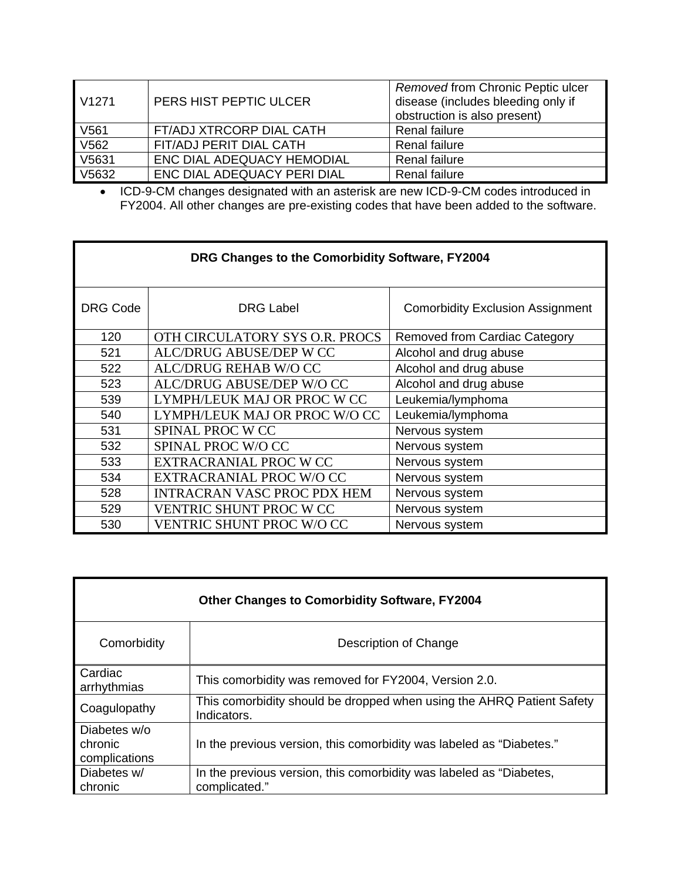| V <sub>1271</sub> | PERS HIST PEPTIC ULCER      | Removed from Chronic Peptic ulcer<br>disease (includes bleeding only if<br>obstruction is also present) |
|-------------------|-----------------------------|---------------------------------------------------------------------------------------------------------|
| V561              | FT/ADJ XTRCORP DIAL CATH    | Renal failure                                                                                           |
| V <sub>562</sub>  | FIT/ADJ PERIT DIAL CATH     | <b>Renal failure</b>                                                                                    |
| V5631             | ENC DIAL ADEQUACY HEMODIAL  | <b>Renal failure</b>                                                                                    |
| V5632             | ENC DIAL ADEQUACY PERI DIAL | <b>Renal failure</b>                                                                                    |

• ICD-9-CM changes designated with an asterisk are new ICD-9-CM codes introduced in FY2004. All other changes are pre-existing codes that have been added to the software.

| DRG Changes to the Comorbidity Software, FY2004 |                                    |                                         |
|-------------------------------------------------|------------------------------------|-----------------------------------------|
| <b>DRG Code</b>                                 | <b>DRG Label</b>                   | <b>Comorbidity Exclusion Assignment</b> |
| 120                                             | OTH CIRCULATORY SYS O.R. PROCS     | <b>Removed from Cardiac Category</b>    |
| 521                                             | ALC/DRUG ABUSE/DEP W CC            | Alcohol and drug abuse                  |
| 522                                             | ALC/DRUG REHAB W/O CC              | Alcohol and drug abuse                  |
| 523                                             | ALC/DRUG ABUSE/DEP W/O CC          | Alcohol and drug abuse                  |
| 539                                             | LYMPH/LEUK MAJ OR PROC W CC        | Leukemia/lymphoma                       |
| 540                                             | LYMPH/LEUK MAJ OR PROC W/O CC      | Leukemia/lymphoma                       |
| 531                                             | SPINAL PROC W CC                   | Nervous system                          |
| 532                                             | SPINAL PROC W/O CC                 | Nervous system                          |
| 533                                             | EXTRACRANIAL PROC W CC             | Nervous system                          |
| 534                                             | EXTRACRANIAL PROC W/O CC           | Nervous system                          |
| 528                                             | <b>INTRACRAN VASC PROC PDX HEM</b> | Nervous system                          |
| 529                                             | VENTRIC SHUNT PROC W CC            | Nervous system                          |
| 530                                             | <b>VENTRIC SHUNT PROC W/O CC</b>   | Nervous system                          |

| <b>Other Changes to Comorbidity Software, FY2004</b> |                                                                                      |  |
|------------------------------------------------------|--------------------------------------------------------------------------------------|--|
| Comorbidity                                          | Description of Change                                                                |  |
| Cardiac<br>arrhythmias                               | This comorbidity was removed for FY2004, Version 2.0.                                |  |
| Coagulopathy                                         | This comorbidity should be dropped when using the AHRQ Patient Safety<br>Indicators. |  |
| Diabetes w/o<br>chronic<br>complications             | In the previous version, this comorbidity was labeled as "Diabetes."                 |  |
| Diabetes w/<br>chronic                               | In the previous version, this comorbidity was labeled as "Diabetes,<br>complicated." |  |